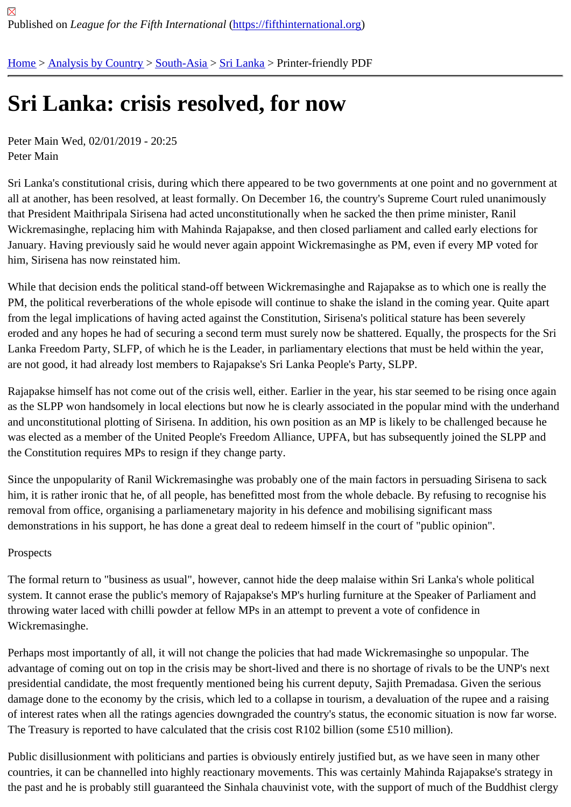## [Sri](https://fifthinternational.org/) [Lanka: cris](https://fifthinternational.org/category/1)[is res](https://fifthinternational.org/category/1/200)[olved,](https://fifthinternational.org/category/1/200/208) for now

Peter Main Wed, 02/01/2019 - 20:25 Peter Main

Sri Lanka's constitutional crisis, during which there appeared to be two governments at one point and no governme all at another, has been resolved, at least formally. On December 16, the country's Supreme Court ruled unanimou that President Maithripala Sirisena had acted unconstitutionally when he sacked the then prime minister, Ranil Wickremasinghe, replacing him with Mahinda Rajapakse, and then closed parliament and called early elections fo January. Having previously said he would never again appoint Wickremasinghe as PM, even if every MP voted for him, Sirisena has now reinstated him.

While that decision ends the political stand-off between Wickremasinghe and Rajapakse as to which one is really t PM, the political reverberations of the whole episode will continue to shake the island in the coming year. Quite ap from the legal implications of having acted against the Constitution, Sirisena's political stature has been severely eroded and any hopes he had of securing a second term must surely now be shattered. Equally, the prospects for Lanka Freedom Party, SLFP, of which he is the Leader, in parliamentary elections that must be held within the yea are not good, it had already lost members to Rajapakse's Sri Lanka People's Party, SLPP.

Rajapakse himself has not come out of the crisis well, either. Earlier in the year, his star seemed to be rising once as the SLPP won handsomely in local elections but now he is clearly associated in the popular mind with the unde and unconstitutional plotting of Sirisena. In addition, his own position as an MP is likely to be challenged because l was elected as a member of the United People's Freedom Alliance, UPFA, but has subsequently joined the SLPP the Constitution requires MPs to resign if they change party.

Since the unpopularity of Ranil Wickremasinghe was probably one of the main factors in persuading Sirisena to sa him, it is rather ironic that he, of all people, has benefitted most from the whole debacle. By refusing to recognise h removal from office, organising a parliamenetary majority in his defence and mobilising significant mass demonstrations in his support, he has done a great deal to redeem himself in the court of "public opinion".

## Prospects

The formal return to "business as usual", however, cannot hide the deep malaise within Sri Lanka's whole political system. It cannot erase the public's memory of Rajapakse's MP's hurling furniture at the Speaker of Parliament an throwing water laced with chilli powder at fellow MPs in an attempt to prevent a vote of confidence in Wickremasinghe.

Perhaps most importantly of all, it will not change the policies that had made Wickremasinghe so unpopular. The advantage of coming out on top in the crisis may be short-lived and there is no shortage of rivals to be the UNP's r presidential candidate, the most frequently mentioned being his current deputy, Sajith Premadasa. Given the seric damage done to the economy by the crisis, which led to a collapse in tourism, a devaluation of the rupee and a rai of interest rates when all the ratings agencies downgraded the country's status, the economic situation is now far w The Treasury is reported to have calculated that the crisis cost R102 billion (some £510 million).

Public disillusionment with politicians and parties is obviously entirely justified but, as we have seen in many other countries, it can be channelled into highly reactionary movements. This was certainly Mahinda Rajapakse's strateg the past and he is probably still guaranteed the Sinhala chauvinist vote, with the support of much of the Buddhist c